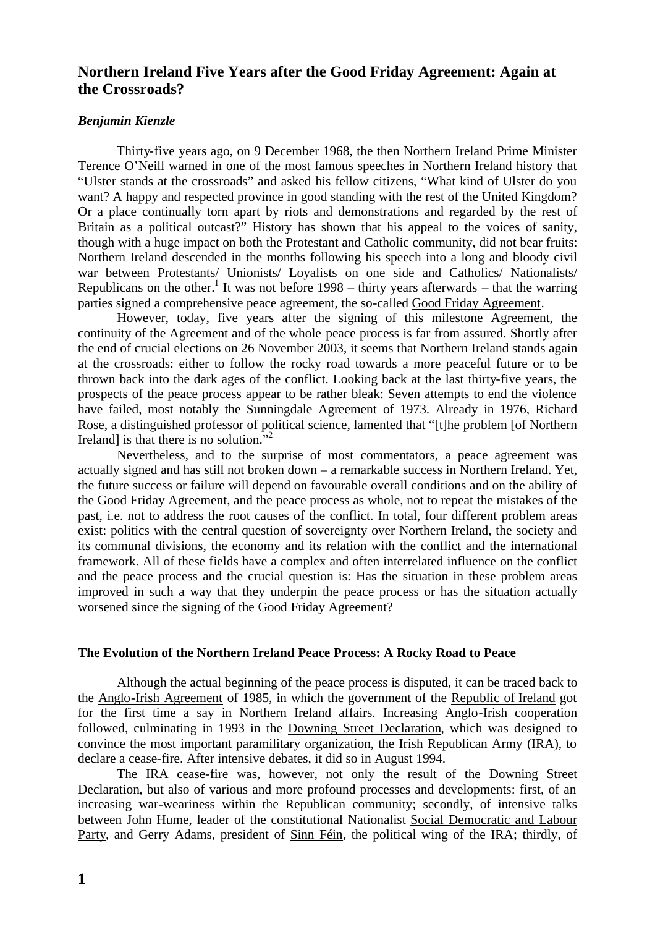# **Northern Ireland Five Years after the Good Friday Agreement: Again at the Crossroads?**

#### *Benjamin Kienzle*

Thirty-five years ago, on 9 December 1968, the then Northern Ireland Prime Minister Terence O'Neill warned in one of the most famous speeches in Northern Ireland history that "Ulster stands at the crossroads" and asked his fellow citizens, "What kind of Ulster do you want? A happy and respected province in good standing with the rest of the United Kingdom? Or a place continually torn apart by riots and demonstrations and regarded by the rest of Britain as a political outcast?" History has shown that his appeal to the voices of sanity, though with a huge impact on both the Protestant and Catholic community, did not bear fruits: Northern Ireland descended in the months following his speech into a long and bloody civil war between Protestants/ Unionists/ Loyalists on one side and Catholics/ Nationalists/ Republicans on the other.<sup>1</sup> It was not before 1998 – thirty years afterwards – that the warring parties signed a comprehensive peace agreement, the so-called Good Friday Agreement.

However, today, five years after the signing of this milestone Agreement, the continuity of the Agreement and of the whole peace process is far from assured. Shortly after the end of crucial elections on 26 November 2003, it seems that Northern Ireland stands again at the crossroads: either to follow the rocky road towards a more peaceful future or to be thrown back into the dark ages of the conflict. Looking back at the last thirty-five years, the prospects of the peace process appear to be rather bleak: Seven attempts to end the violence have failed, most notably the Sunningdale Agreement of 1973. Already in 1976, Richard Rose, a distinguished professor of political science, lamented that "[t]he problem [of Northern Ireland] is that there is no solution."<sup>2</sup>

Nevertheless, and to the surprise of most commentators, a peace agreement was actually signed and has still not broken down – a remarkable success in Northern Ireland. Yet, the future success or failure will depend on favourable overall conditions and on the ability of the Good Friday Agreement, and the peace process as whole, not to repeat the mistakes of the past, i.e. not to address the root causes of the conflict. In total, four different problem areas exist: politics with the central question of sovereignty over Northern Ireland, the society and its communal divisions, the economy and its relation with the conflict and the international framework. All of these fields have a complex and often interrelated influence on the conflict and the peace process and the crucial question is: Has the situation in these problem areas improved in such a way that they underpin the peace process or has the situation actually worsened since the signing of the Good Friday Agreement?

#### **The Evolution of the Northern Ireland Peace Process: A Rocky Road to Peace**

Although the actual beginning of the peace process is disputed, it can be traced back to the Anglo-Irish Agreement of 1985, in which the government of the Republic of Ireland got for the first time a say in Northern Ireland affairs. Increasing Anglo-Irish cooperation followed, culminating in 1993 in the Downing Street Declaration, which was designed to convince the most important paramilitary organization, the Irish Republican Army (IRA), to declare a cease-fire. After intensive debates, it did so in August 1994.

The IRA cease-fire was, however, not only the result of the Downing Street Declaration, but also of various and more profound processes and developments: first, of an increasing war-weariness within the Republican community; secondly, of intensive talks between John Hume, leader of the constitutional Nationalist Social Democratic and Labour Party, and Gerry Adams, president of Sinn Féin, the political wing of the IRA; thirdly, of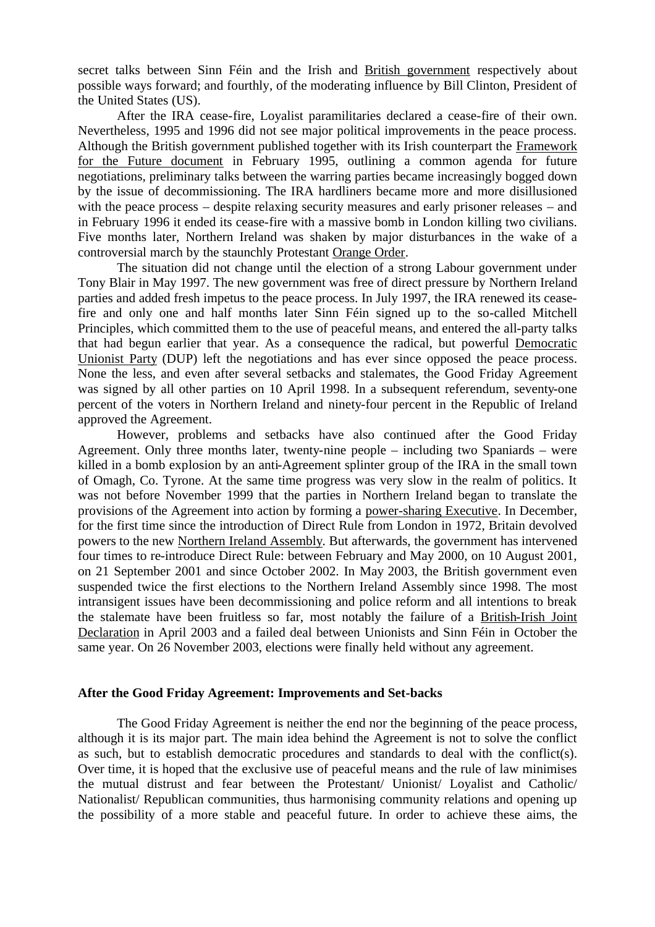secret talks between Sinn Féin and the Irish and British government respectively about possible ways forward; and fourthly, of the moderating influence by Bill Clinton, President of the United States (US).

After the IRA cease-fire, Loyalist paramilitaries declared a cease-fire of their own. Nevertheless, 1995 and 1996 did not see major political improvements in the peace process. Although the British government published together with its Irish counterpart the Framework for the Future document in February 1995, outlining a common agenda for future negotiations, preliminary talks between the warring parties became increasingly bogged down by the issue of decommissioning. The IRA hardliners became more and more disillusioned with the peace process – despite relaxing security measures and early prisoner releases – and in February 1996 it ended its cease-fire with a massive bomb in London killing two civilians. Five months later, Northern Ireland was shaken by major disturbances in the wake of a controversial march by the staunchly Protestant Orange Order.

The situation did not change until the election of a strong Labour government under Tony Blair in May 1997. The new government was free of direct pressure by Northern Ireland parties and added fresh impetus to the peace process. In July 1997, the IRA renewed its ceasefire and only one and half months later Sinn Féin signed up to the so-called Mitchell Principles, which committed them to the use of peaceful means, and entered the all-party talks that had begun earlier that year. As a consequence the radical, but powerful Democratic Unionist Party (DUP) left the negotiations and has ever since opposed the peace process. None the less, and even after several setbacks and stalemates, the Good Friday Agreement was signed by all other parties on 10 April 1998. In a subsequent referendum, seventy-one percent of the voters in Northern Ireland and ninety-four percent in the Republic of Ireland approved the Agreement.

However, problems and setbacks have also continued after the Good Friday Agreement. Only three months later, twenty-nine people – including two Spaniards – were killed in a bomb explosion by an anti-Agreement splinter group of the IRA in the small town of Omagh, Co. Tyrone. At the same time progress was very slow in the realm of politics. It was not before November 1999 that the parties in Northern Ireland began to translate the provisions of the Agreement into action by forming a power-sharing Executive. In December, for the first time since the introduction of Direct Rule from London in 1972, Britain devolved powers to the new Northern Ireland Assembly. But afterwards, the government has intervened four times to re-introduce Direct Rule: between February and May 2000, on 10 August 2001, on 21 September 2001 and since October 2002. In May 2003, the British government even suspended twice the first elections to the Northern Ireland Assembly since 1998. The most intransigent issues have been decommissioning and police reform and all intentions to break the stalemate have been fruitless so far, most notably the failure of a British-Irish Joint Declaration in April 2003 and a failed deal between Unionists and Sinn Féin in October the same year. On 26 November 2003, elections were finally held without any agreement.

#### **After the Good Friday Agreement: Improvements and Set-backs**

The Good Friday Agreement is neither the end nor the beginning of the peace process, although it is its major part. The main idea behind the Agreement is not to solve the conflict as such, but to establish democratic procedures and standards to deal with the conflict(s). Over time, it is hoped that the exclusive use of peaceful means and the rule of law minimises the mutual distrust and fear between the Protestant/ Unionist/ Loyalist and Catholic/ Nationalist/ Republican communities, thus harmonising community relations and opening up the possibility of a more stable and peaceful future. In order to achieve these aims, the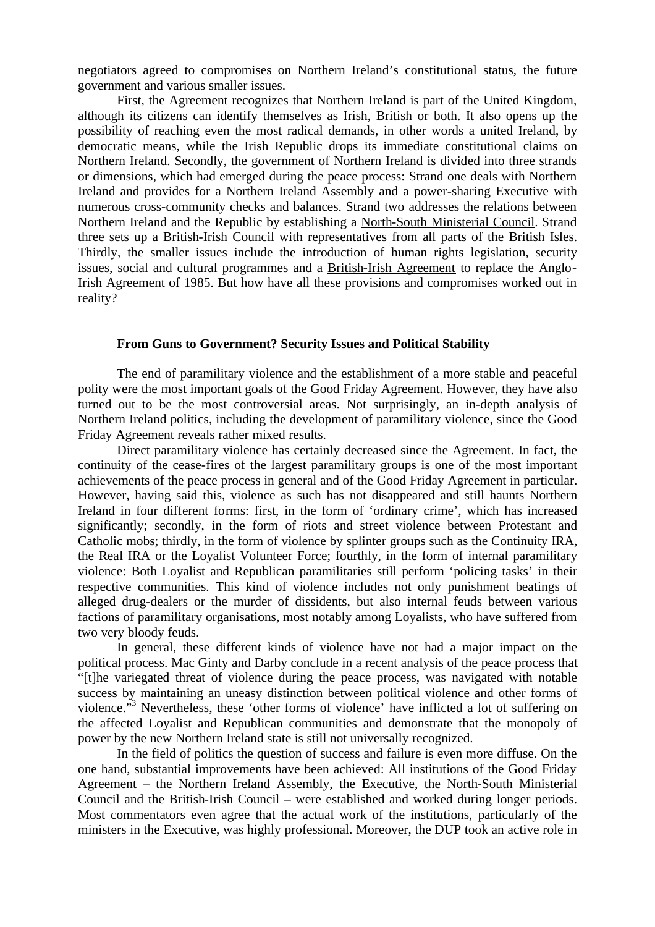negotiators agreed to compromises on Northern Ireland's constitutional status, the future government and various smaller issues.

First, the Agreement recognizes that Northern Ireland is part of the United Kingdom, although its citizens can identify themselves as Irish, British or both. It also opens up the possibility of reaching even the most radical demands, in other words a united Ireland, by democratic means, while the Irish Republic drops its immediate constitutional claims on Northern Ireland. Secondly, the government of Northern Ireland is divided into three strands or dimensions, which had emerged during the peace process: Strand one deals with Northern Ireland and provides for a Northern Ireland Assembly and a power-sharing Executive with numerous cross-community checks and balances. Strand two addresses the relations between Northern Ireland and the Republic by establishing a North-South Ministerial Council. Strand three sets up a British-Irish Council with representatives from all parts of the British Isles. Thirdly, the smaller issues include the introduction of human rights legislation, security issues, social and cultural programmes and a British-Irish Agreement to replace the Anglo-Irish Agreement of 1985. But how have all these provisions and compromises worked out in reality?

### **From Guns to Government? Security Issues and Political Stability**

The end of paramilitary violence and the establishment of a more stable and peaceful polity were the most important goals of the Good Friday Agreement. However, they have also turned out to be the most controversial areas. Not surprisingly, an in-depth analysis of Northern Ireland politics, including the development of paramilitary violence, since the Good Friday Agreement reveals rather mixed results.

Direct paramilitary violence has certainly decreased since the Agreement. In fact, the continuity of the cease-fires of the largest paramilitary groups is one of the most important achievements of the peace process in general and of the Good Friday Agreement in particular. However, having said this, violence as such has not disappeared and still haunts Northern Ireland in four different forms: first, in the form of 'ordinary crime', which has increased significantly; secondly, in the form of riots and street violence between Protestant and Catholic mobs; thirdly, in the form of violence by splinter groups such as the Continuity IRA, the Real IRA or the Loyalist Volunteer Force; fourthly, in the form of internal paramilitary violence: Both Loyalist and Republican paramilitaries still perform 'policing tasks' in their respective communities. This kind of violence includes not only punishment beatings of alleged drug-dealers or the murder of dissidents, but also internal feuds between various factions of paramilitary organisations, most notably among Loyalists, who have suffered from two very bloody feuds.

In general, these different kinds of violence have not had a major impact on the political process. Mac Ginty and Darby conclude in a recent analysis of the peace process that "[t]he variegated threat of violence during the peace process, was navigated with notable success by maintaining an uneasy distinction between political violence and other forms of violence."<sup>3</sup> Nevertheless, these 'other forms of violence' have inflicted a lot of suffering on the affected Loyalist and Republican communities and demonstrate that the monopoly of power by the new Northern Ireland state is still not universally recognized.

In the field of politics the question of success and failure is even more diffuse. On the one hand, substantial improvements have been achieved: All institutions of the Good Friday Agreement – the Northern Ireland Assembly, the Executive, the North-South Ministerial Council and the British-Irish Council – were established and worked during longer periods. Most commentators even agree that the actual work of the institutions, particularly of the ministers in the Executive, was highly professional. Moreover, the DUP took an active role in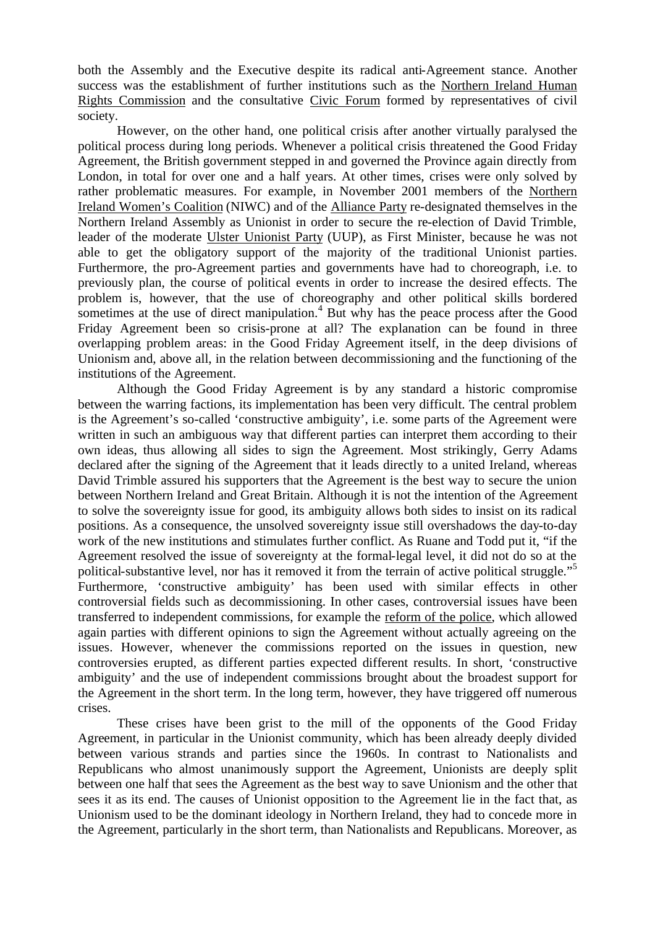both the Assembly and the Executive despite its radical anti-Agreement stance. Another success was the establishment of further institutions such as the Northern Ireland Human Rights Commission and the consultative Civic Forum formed by representatives of civil society.

However, on the other hand, one political crisis after another virtually paralysed the political process during long periods. Whenever a political crisis threatened the Good Friday Agreement, the British government stepped in and governed the Province again directly from London, in total for over one and a half years. At other times, crises were only solved by rather problematic measures. For example, in November 2001 members of the Northern Ireland Women's Coalition (NIWC) and of the Alliance Party re-designated themselves in the Northern Ireland Assembly as Unionist in order to secure the re-election of David Trimble, leader of the moderate Ulster Unionist Party (UUP), as First Minister, because he was not able to get the obligatory support of the majority of the traditional Unionist parties. Furthermore, the pro-Agreement parties and governments have had to choreograph, i.e. to previously plan, the course of political events in order to increase the desired effects. The problem is, however, that the use of choreography and other political skills bordered sometimes at the use of direct manipulation. $4$  But why has the peace process after the Good Friday Agreement been so crisis-prone at all? The explanation can be found in three overlapping problem areas: in the Good Friday Agreement itself, in the deep divisions of Unionism and, above all, in the relation between decommissioning and the functioning of the institutions of the Agreement.

Although the Good Friday Agreement is by any standard a historic compromise between the warring factions, its implementation has been very difficult. The central problem is the Agreement's so-called 'constructive ambiguity', i.e. some parts of the Agreement were written in such an ambiguous way that different parties can interpret them according to their own ideas, thus allowing all sides to sign the Agreement. Most strikingly, Gerry Adams declared after the signing of the Agreement that it leads directly to a united Ireland, whereas David Trimble assured his supporters that the Agreement is the best way to secure the union between Northern Ireland and Great Britain. Although it is not the intention of the Agreement to solve the sovereignty issue for good, its ambiguity allows both sides to insist on its radical positions. As a consequence, the unsolved sovereignty issue still overshadows the day-to-day work of the new institutions and stimulates further conflict. As Ruane and Todd put it, "if the Agreement resolved the issue of sovereignty at the formal-legal level, it did not do so at the political-substantive level, nor has it removed it from the terrain of active political struggle."<sup>5</sup> Furthermore, 'constructive ambiguity' has been used with similar effects in other controversial fields such as decommissioning. In other cases, controversial issues have been transferred to independent commissions, for example the reform of the police, which allowed again parties with different opinions to sign the Agreement without actually agreeing on the issues. However, whenever the commissions reported on the issues in question, new controversies erupted, as different parties expected different results. In short, 'constructive ambiguity' and the use of independent commissions brought about the broadest support for the Agreement in the short term. In the long term, however, they have triggered off numerous crises.

These crises have been grist to the mill of the opponents of the Good Friday Agreement, in particular in the Unionist community, which has been already deeply divided between various strands and parties since the 1960s. In contrast to Nationalists and Republicans who almost unanimously support the Agreement, Unionists are deeply split between one half that sees the Agreement as the best way to save Unionism and the other that sees it as its end. The causes of Unionist opposition to the Agreement lie in the fact that, as Unionism used to be the dominant ideology in Northern Ireland, they had to concede more in the Agreement, particularly in the short term, than Nationalists and Republicans. Moreover, as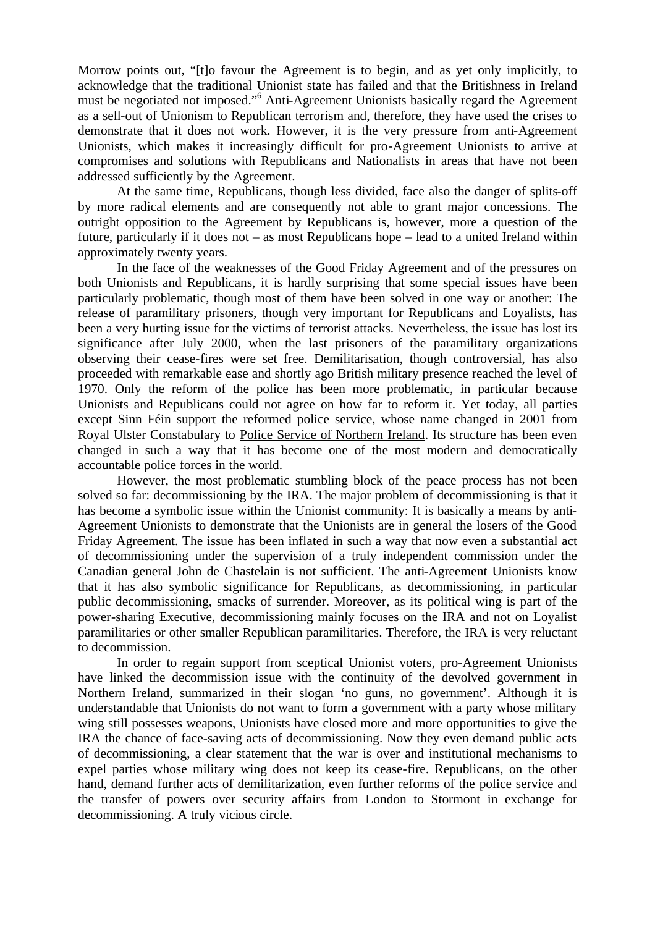Morrow points out, "[t]o favour the Agreement is to begin, and as yet only implicitly, to acknowledge that the traditional Unionist state has failed and that the Britishness in Ireland must be negotiated not imposed."<sup>6</sup> Anti-Agreement Unionists basically regard the Agreement as a sell-out of Unionism to Republican terrorism and, therefore, they have used the crises to demonstrate that it does not work. However, it is the very pressure from anti-Agreement Unionists, which makes it increasingly difficult for pro-Agreement Unionists to arrive at compromises and solutions with Republicans and Nationalists in areas that have not been addressed sufficiently by the Agreement.

At the same time, Republicans, though less divided, face also the danger of splits-off by more radical elements and are consequently not able to grant major concessions. The outright opposition to the Agreement by Republicans is, however, more a question of the future, particularly if it does not – as most Republicans hope – lead to a united Ireland within approximately twenty years.

In the face of the weaknesses of the Good Friday Agreement and of the pressures on both Unionists and Republicans, it is hardly surprising that some special issues have been particularly problematic, though most of them have been solved in one way or another: The release of paramilitary prisoners, though very important for Republicans and Loyalists, has been a very hurting issue for the victims of terrorist attacks. Nevertheless, the issue has lost its significance after July 2000, when the last prisoners of the paramilitary organizations observing their cease-fires were set free. Demilitarisation, though controversial, has also proceeded with remarkable ease and shortly ago British military presence reached the level of 1970. Only the reform of the police has been more problematic, in particular because Unionists and Republicans could not agree on how far to reform it. Yet today, all parties except Sinn Féin support the reformed police service, whose name changed in 2001 from Royal Ulster Constabulary to Police Service of Northern Ireland. Its structure has been even changed in such a way that it has become one of the most modern and democratically accountable police forces in the world.

However, the most problematic stumbling block of the peace process has not been solved so far: decommissioning by the IRA. The major problem of decommissioning is that it has become a symbolic issue within the Unionist community: It is basically a means by anti-Agreement Unionists to demonstrate that the Unionists are in general the losers of the Good Friday Agreement. The issue has been inflated in such a way that now even a substantial act of decommissioning under the supervision of a truly independent commission under the Canadian general John de Chastelain is not sufficient. The anti-Agreement Unionists know that it has also symbolic significance for Republicans, as decommissioning, in particular public decommissioning, smacks of surrender. Moreover, as its political wing is part of the power-sharing Executive, decommissioning mainly focuses on the IRA and not on Loyalist paramilitaries or other smaller Republican paramilitaries. Therefore, the IRA is very reluctant to decommission.

In order to regain support from sceptical Unionist voters, pro-Agreement Unionists have linked the decommission issue with the continuity of the devolved government in Northern Ireland, summarized in their slogan 'no guns, no government'. Although it is understandable that Unionists do not want to form a government with a party whose military wing still possesses weapons, Unionists have closed more and more opportunities to give the IRA the chance of face-saving acts of decommissioning. Now they even demand public acts of decommissioning, a clear statement that the war is over and institutional mechanisms to expel parties whose military wing does not keep its cease-fire. Republicans, on the other hand, demand further acts of demilitarization, even further reforms of the police service and the transfer of powers over security affairs from London to Stormont in exchange for decommissioning. A truly vicious circle.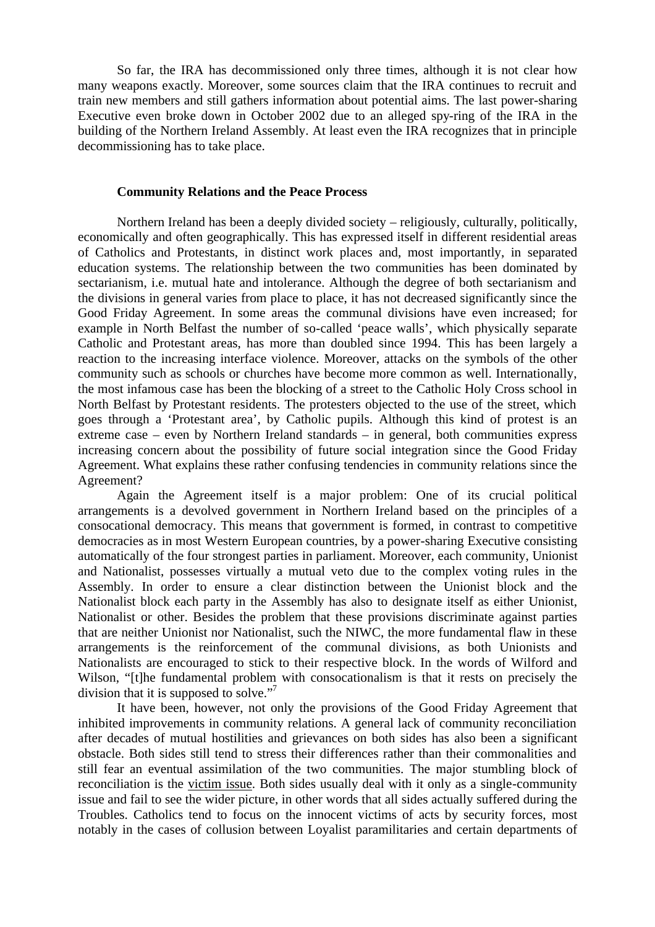So far, the IRA has decommissioned only three times, although it is not clear how many weapons exactly. Moreover, some sources claim that the IRA continues to recruit and train new members and still gathers information about potential aims. The last power-sharing Executive even broke down in October 2002 due to an alleged spy-ring of the IRA in the building of the Northern Ireland Assembly. At least even the IRA recognizes that in principle decommissioning has to take place.

#### **Community Relations and the Peace Process**

Northern Ireland has been a deeply divided society – religiously, culturally, politically, economically and often geographically. This has expressed itself in different residential areas of Catholics and Protestants, in distinct work places and, most importantly, in separated education systems. The relationship between the two communities has been dominated by sectarianism, i.e. mutual hate and intolerance. Although the degree of both sectarianism and the divisions in general varies from place to place, it has not decreased significantly since the Good Friday Agreement. In some areas the communal divisions have even increased; for example in North Belfast the number of so-called 'peace walls', which physically separate Catholic and Protestant areas, has more than doubled since 1994. This has been largely a reaction to the increasing interface violence. Moreover, attacks on the symbols of the other community such as schools or churches have become more common as well. Internationally, the most infamous case has been the blocking of a street to the Catholic Holy Cross school in North Belfast by Protestant residents. The protesters objected to the use of the street, which goes through a 'Protestant area', by Catholic pupils. Although this kind of protest is an extreme case – even by Northern Ireland standards – in general, both communities express increasing concern about the possibility of future social integration since the Good Friday Agreement. What explains these rather confusing tendencies in community relations since the Agreement?

Again the Agreement itself is a major problem: One of its crucial political arrangements is a devolved government in Northern Ireland based on the principles of a consocational democracy. This means that government is formed, in contrast to competitive democracies as in most Western European countries, by a power-sharing Executive consisting automatically of the four strongest parties in parliament. Moreover, each community, Unionist and Nationalist, possesses virtually a mutual veto due to the complex voting rules in the Assembly. In order to ensure a clear distinction between the Unionist block and the Nationalist block each party in the Assembly has also to designate itself as either Unionist, Nationalist or other. Besides the problem that these provisions discriminate against parties that are neither Unionist nor Nationalist, such the NIWC, the more fundamental flaw in these arrangements is the reinforcement of the communal divisions, as both Unionists and Nationalists are encouraged to stick to their respective block. In the words of Wilford and Wilson, "[t]he fundamental problem with consocationalism is that it rests on precisely the division that it is supposed to solve."<sup>7</sup>

It have been, however, not only the provisions of the Good Friday Agreement that inhibited improvements in community relations. A general lack of community reconciliation after decades of mutual hostilities and grievances on both sides has also been a significant obstacle. Both sides still tend to stress their differences rather than their commonalities and still fear an eventual assimilation of the two communities. The major stumbling block of reconciliation is the victim issue. Both sides usually deal with it only as a single-community issue and fail to see the wider picture, in other words that all sides actually suffered during the Troubles. Catholics tend to focus on the innocent victims of acts by security forces, most notably in the cases of collusion between Loyalist paramilitaries and certain departments of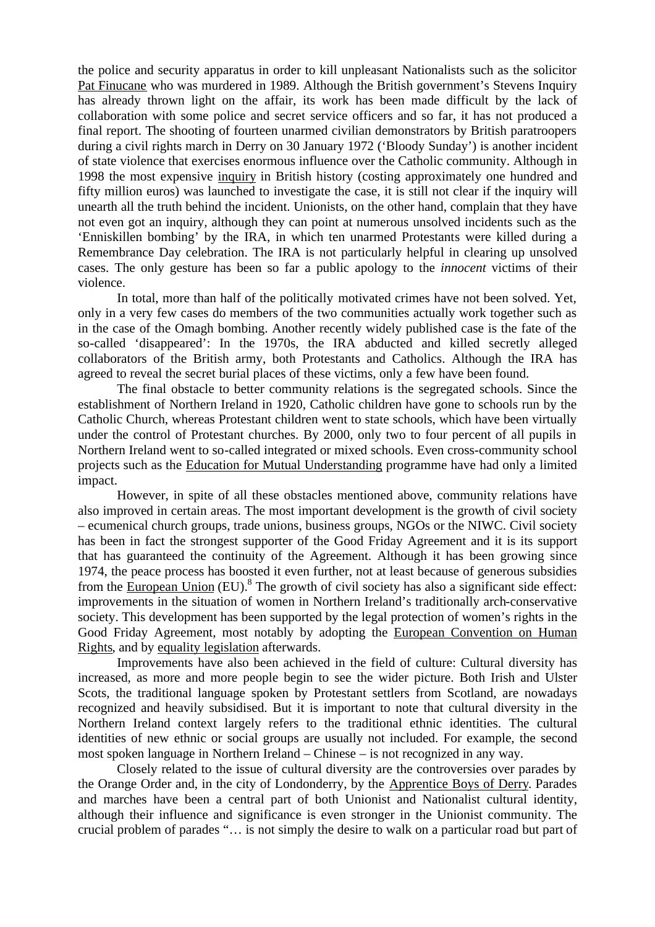the police and security apparatus in order to kill unpleasant Nationalists such as the solicitor Pat Finucane who was murdered in 1989. Although the British government's Stevens Inquiry has already thrown light on the affair, its work has been made difficult by the lack of collaboration with some police and secret service officers and so far, it has not produced a final report. The shooting of fourteen unarmed civilian demonstrators by British paratroopers during a civil rights march in Derry on 30 January 1972 ('Bloody Sunday') is another incident of state violence that exercises enormous influence over the Catholic community. Although in 1998 the most expensive inquiry in British history (costing approximately one hundred and fifty million euros) was launched to investigate the case, it is still not clear if the inquiry will unearth all the truth behind the incident. Unionists, on the other hand, complain that they have not even got an inquiry, although they can point at numerous unsolved incidents such as the 'Enniskillen bombing' by the IRA, in which ten unarmed Protestants were killed during a Remembrance Day celebration. The IRA is not particularly helpful in clearing up unsolved cases. The only gesture has been so far a public apology to the *innocent* victims of their violence.

In total, more than half of the politically motivated crimes have not been solved. Yet, only in a very few cases do members of the two communities actually work together such as in the case of the Omagh bombing. Another recently widely published case is the fate of the so-called 'disappeared': In the 1970s, the IRA abducted and killed secretly alleged collaborators of the British army, both Protestants and Catholics. Although the IRA has agreed to reveal the secret burial places of these victims, only a few have been found.

The final obstacle to better community relations is the segregated schools. Since the establishment of Northern Ireland in 1920, Catholic children have gone to schools run by the Catholic Church, whereas Protestant children went to state schools, which have been virtually under the control of Protestant churches. By 2000, only two to four percent of all pupils in Northern Ireland went to so-called integrated or mixed schools. Even cross-community school projects such as the Education for Mutual Understanding programme have had only a limited impact.

However, in spite of all these obstacles mentioned above, community relations have also improved in certain areas. The most important development is the growth of civil society – ecumenical church groups, trade unions, business groups, NGOs or the NIWC. Civil society has been in fact the strongest supporter of the Good Friday Agreement and it is its support that has guaranteed the continuity of the Agreement. Although it has been growing since 1974, the peace process has boosted it even further, not at least because of generous subsidies from the **European Union** (EU).<sup>8</sup> The growth of civil society has also a significant side effect: improvements in the situation of women in Northern Ireland's traditionally arch-conservative society. This development has been supported by the legal protection of women's rights in the Good Friday Agreement, most notably by adopting the European Convention on Human Rights, and by equality legislation afterwards.

Improvements have also been achieved in the field of culture: Cultural diversity has increased, as more and more people begin to see the wider picture. Both Irish and Ulster Scots, the traditional language spoken by Protestant settlers from Scotland, are nowadays recognized and heavily subsidised. But it is important to note that cultural diversity in the Northern Ireland context largely refers to the traditional ethnic identities. The cultural identities of new ethnic or social groups are usually not included. For example, the second most spoken language in Northern Ireland – Chinese – is not recognized in any way.

Closely related to the issue of cultural diversity are the controversies over parades by the Orange Order and, in the city of Londonderry, by the Apprentice Boys of Derry. Parades and marches have been a central part of both Unionist and Nationalist cultural identity, although their influence and significance is even stronger in the Unionist community. The crucial problem of parades "… is not simply the desire to walk on a particular road but part of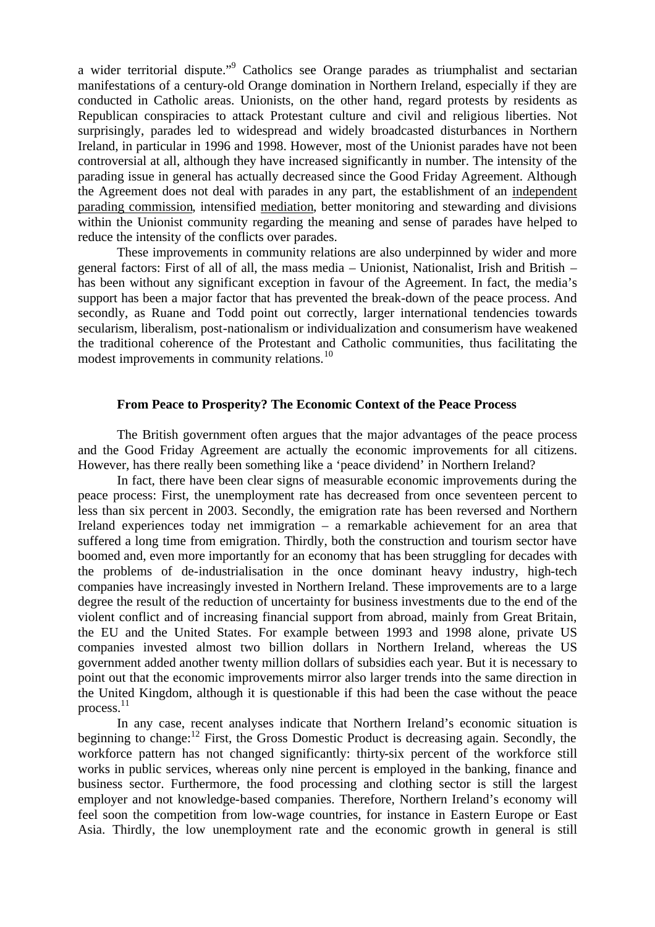a wider territorial dispute."<sup>9</sup> Catholics see Orange parades as triumphalist and sectarian manifestations of a century-old Orange domination in Northern Ireland, especially if they are conducted in Catholic areas. Unionists, on the other hand, regard protests by residents as Republican conspiracies to attack Protestant culture and civil and religious liberties. Not surprisingly, parades led to widespread and widely broadcasted disturbances in Northern Ireland, in particular in 1996 and 1998. However, most of the Unionist parades have not been controversial at all, although they have increased significantly in number. The intensity of the parading issue in general has actually decreased since the Good Friday Agreement. Although the Agreement does not deal with parades in any part, the establishment of an independent parading commission, intensified mediation, better monitoring and stewarding and divisions within the Unionist community regarding the meaning and sense of parades have helped to reduce the intensity of the conflicts over parades.

These improvements in community relations are also underpinned by wider and more general factors: First of all of all, the mass media – Unionist, Nationalist, Irish and British – has been without any significant exception in favour of the Agreement. In fact, the media's support has been a major factor that has prevented the break-down of the peace process. And secondly, as Ruane and Todd point out correctly, larger international tendencies towards secularism, liberalism, post-nationalism or individualization and consumerism have weakened the traditional coherence of the Protestant and Catholic communities, thus facilitating the modest improvements in community relations.<sup>10</sup>

#### **From Peace to Prosperity? The Economic Context of the Peace Process**

The British government often argues that the major advantages of the peace process and the Good Friday Agreement are actually the economic improvements for all citizens. However, has there really been something like a 'peace dividend' in Northern Ireland?

In fact, there have been clear signs of measurable economic improvements during the peace process: First, the unemployment rate has decreased from once seventeen percent to less than six percent in 2003. Secondly, the emigration rate has been reversed and Northern Ireland experiences today net immigration – a remarkable achievement for an area that suffered a long time from emigration. Thirdly, both the construction and tourism sector have boomed and, even more importantly for an economy that has been struggling for decades with the problems of de-industrialisation in the once dominant heavy industry, high-tech companies have increasingly invested in Northern Ireland. These improvements are to a large degree the result of the reduction of uncertainty for business investments due to the end of the violent conflict and of increasing financial support from abroad, mainly from Great Britain, the EU and the United States. For example between 1993 and 1998 alone, private US companies invested almost two billion dollars in Northern Ireland, whereas the US government added another twenty million dollars of subsidies each year. But it is necessary to point out that the economic improvements mirror also larger trends into the same direction in the United Kingdom, although it is questionable if this had been the case without the peace process. 11

In any case, recent analyses indicate that Northern Ireland's economic situation is beginning to change:<sup>12</sup> First, the Gross Domestic Product is decreasing again. Secondly, the workforce pattern has not changed significantly: thirty-six percent of the workforce still works in public services, whereas only nine percent is employed in the banking, finance and business sector. Furthermore, the food processing and clothing sector is still the largest employer and not knowledge-based companies. Therefore, Northern Ireland's economy will feel soon the competition from low-wage countries, for instance in Eastern Europe or East Asia. Thirdly, the low unemployment rate and the economic growth in general is still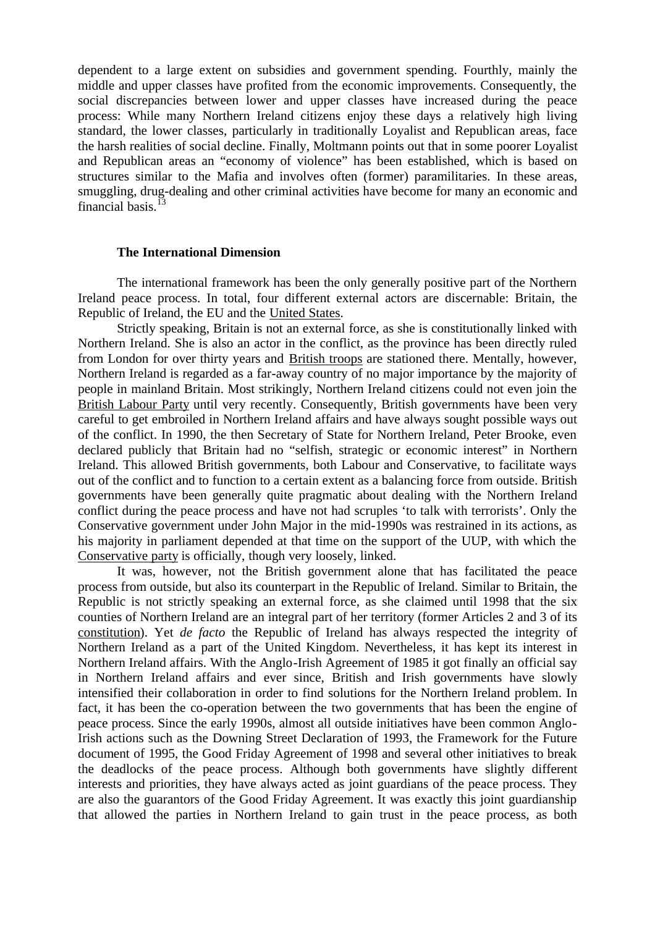dependent to a large extent on subsidies and government spending. Fourthly, mainly the middle and upper classes have profited from the economic improvements. Consequently, the social discrepancies between lower and upper classes have increased during the peace process: While many Northern Ireland citizens enjoy these days a relatively high living standard, the lower classes, particularly in traditionally Loyalist and Republican areas, face the harsh realities of social decline. Finally, Moltmann points out that in some poorer Loyalist and Republican areas an "economy of violence" has been established, which is based on structures similar to the Mafia and involves often (former) paramilitaries. In these areas, smuggling, drug-dealing and other criminal activities have become for many an economic and financial basis. $^{13}$ 

#### **The International Dimension**

The international framework has been the only generally positive part of the Northern Ireland peace process. In total, four different external actors are discernable: Britain, the Republic of Ireland, the EU and the United States.

Strictly speaking, Britain is not an external force, as she is constitutionally linked with Northern Ireland. She is also an actor in the conflict, as the province has been directly ruled from London for over thirty years and British troops are stationed there. Mentally, however, Northern Ireland is regarded as a far-away country of no major importance by the majority of people in mainland Britain. Most strikingly, Northern Ireland citizens could not even join the British Labour Party until very recently. Consequently, British governments have been very careful to get embroiled in Northern Ireland affairs and have always sought possible ways out of the conflict. In 1990, the then Secretary of State for Northern Ireland, Peter Brooke, even declared publicly that Britain had no "selfish, strategic or economic interest" in Northern Ireland. This allowed British governments, both Labour and Conservative, to facilitate ways out of the conflict and to function to a certain extent as a balancing force from outside. British governments have been generally quite pragmatic about dealing with the Northern Ireland conflict during the peace process and have not had scruples 'to talk with terrorists'. Only the Conservative government under John Major in the mid-1990s was restrained in its actions, as his majority in parliament depended at that time on the support of the UUP, with which the Conservative party is officially, though very loosely, linked.

It was, however, not the British government alone that has facilitated the peace process from outside, but also its counterpart in the Republic of Ireland. Similar to Britain, the Republic is not strictly speaking an external force, as she claimed until 1998 that the six counties of Northern Ireland are an integral part of her territory (former Articles 2 and 3 of its constitution). Yet *de facto* the Republic of Ireland has always respected the integrity of Northern Ireland as a part of the United Kingdom. Nevertheless, it has kept its interest in Northern Ireland affairs. With the Anglo-Irish Agreement of 1985 it got finally an official say in Northern Ireland affairs and ever since, British and Irish governments have slowly intensified their collaboration in order to find solutions for the Northern Ireland problem. In fact, it has been the co-operation between the two governments that has been the engine of peace process. Since the early 1990s, almost all outside initiatives have been common Anglo-Irish actions such as the Downing Street Declaration of 1993, the Framework for the Future document of 1995, the Good Friday Agreement of 1998 and several other initiatives to break the deadlocks of the peace process. Although both governments have slightly different interests and priorities, they have always acted as joint guardians of the peace process. They are also the guarantors of the Good Friday Agreement. It was exactly this joint guardianship that allowed the parties in Northern Ireland to gain trust in the peace process, as both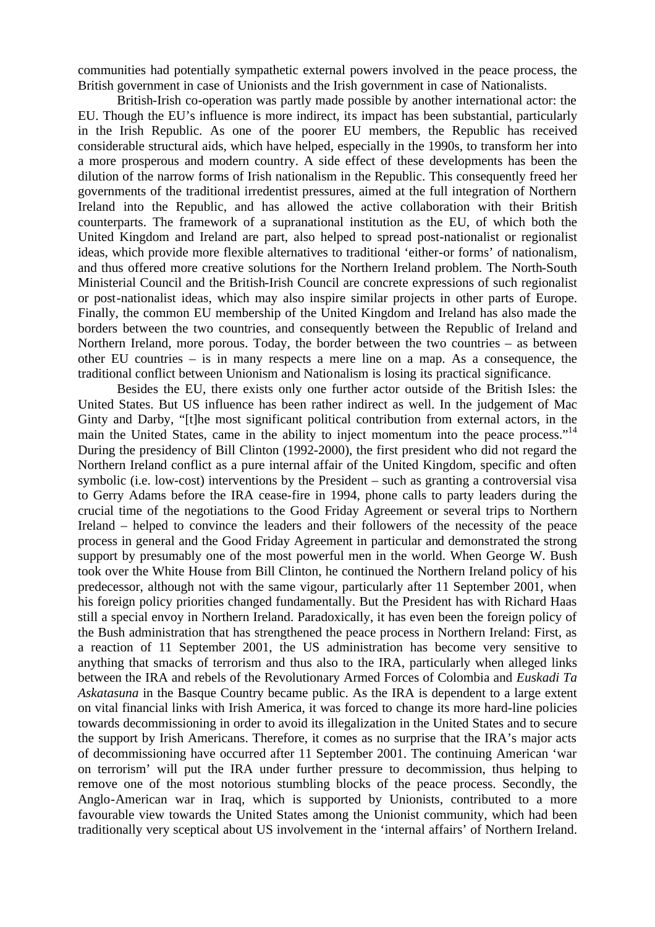communities had potentially sympathetic external powers involved in the peace process, the British government in case of Unionists and the Irish government in case of Nationalists.

British-Irish co-operation was partly made possible by another international actor: the EU. Though the EU's influence is more indirect, its impact has been substantial, particularly in the Irish Republic. As one of the poorer EU members, the Republic has received considerable structural aids, which have helped, especially in the 1990s, to transform her into a more prosperous and modern country. A side effect of these developments has been the dilution of the narrow forms of Irish nationalism in the Republic. This consequently freed her governments of the traditional irredentist pressures, aimed at the full integration of Northern Ireland into the Republic, and has allowed the active collaboration with their British counterparts. The framework of a supranational institution as the EU, of which both the United Kingdom and Ireland are part, also helped to spread post-nationalist or regionalist ideas, which provide more flexible alternatives to traditional 'either-or forms' of nationalism, and thus offered more creative solutions for the Northern Ireland problem. The North-South Ministerial Council and the British-Irish Council are concrete expressions of such regionalist or post-nationalist ideas, which may also inspire similar projects in other parts of Europe. Finally, the common EU membership of the United Kingdom and Ireland has also made the borders between the two countries, and consequently between the Republic of Ireland and Northern Ireland, more porous. Today, the border between the two countries – as between other EU countries – is in many respects a mere line on a map. As a consequence, the traditional conflict between Unionism and Nationalism is losing its practical significance.

Besides the EU, there exists only one further actor outside of the British Isles: the United States. But US influence has been rather indirect as well. In the judgement of Mac Ginty and Darby, "[t]he most significant political contribution from external actors, in the main the United States, came in the ability to inject momentum into the peace process."<sup>14</sup> During the presidency of Bill Clinton (1992-2000), the first president who did not regard the Northern Ireland conflict as a pure internal affair of the United Kingdom, specific and often symbolic (i.e. low-cost) interventions by the President – such as granting a controversial visa to Gerry Adams before the IRA cease-fire in 1994, phone calls to party leaders during the crucial time of the negotiations to the Good Friday Agreement or several trips to Northern Ireland – helped to convince the leaders and their followers of the necessity of the peace process in general and the Good Friday Agreement in particular and demonstrated the strong support by presumably one of the most powerful men in the world. When George W. Bush took over the White House from Bill Clinton, he continued the Northern Ireland policy of his predecessor, although not with the same vigour, particularly after 11 September 2001, when his foreign policy priorities changed fundamentally. But the President has with Richard Haas still a special envoy in Northern Ireland. Paradoxically, it has even been the foreign policy of the Bush administration that has strengthened the peace process in Northern Ireland: First, as a reaction of 11 September 2001, the US administration has become very sensitive to anything that smacks of terrorism and thus also to the IRA, particularly when alleged links between the IRA and rebels of the Revolutionary Armed Forces of Colombia and *Euskadi Ta Askatasuna* in the Basque Country became public. As the IRA is dependent to a large extent on vital financial links with Irish America, it was forced to change its more hard-line policies towards decommissioning in order to avoid its illegalization in the United States and to secure the support by Irish Americans. Therefore, it comes as no surprise that the IRA's major acts of decommissioning have occurred after 11 September 2001. The continuing American 'war on terrorism' will put the IRA under further pressure to decommission, thus helping to remove one of the most notorious stumbling blocks of the peace process. Secondly, the Anglo-American war in Iraq, which is supported by Unionists, contributed to a more favourable view towards the United States among the Unionist community, which had been traditionally very sceptical about US involvement in the 'internal affairs' of Northern Ireland.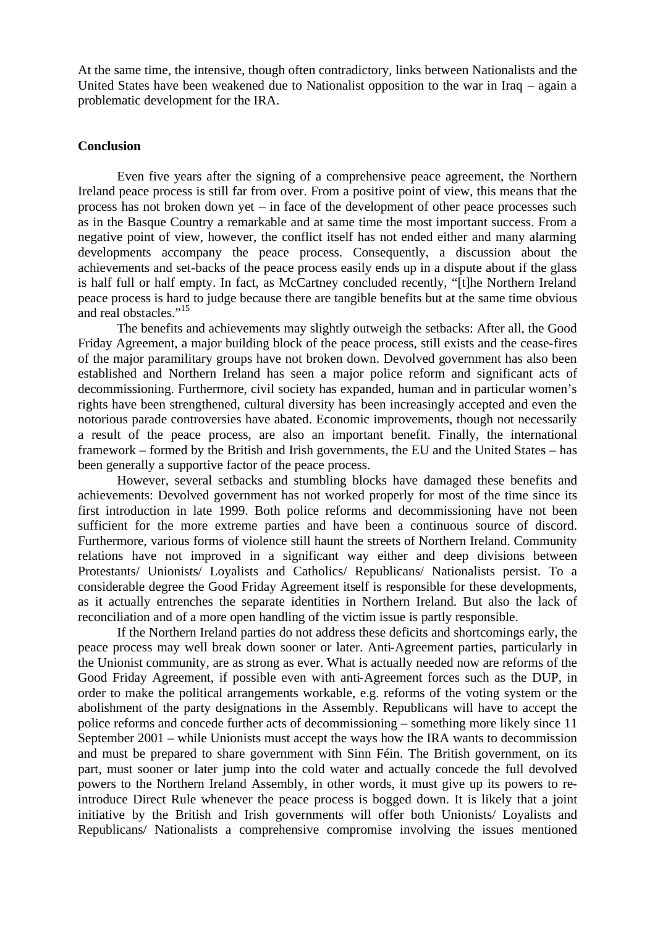At the same time, the intensive, though often contradictory, links between Nationalists and the United States have been weakened due to Nationalist opposition to the war in Iraq – again a problematic development for the IRA.

#### **Conclusion**

Even five years after the signing of a comprehensive peace agreement, the Northern Ireland peace process is still far from over. From a positive point of view, this means that the process has not broken down yet – in face of the development of other peace processes such as in the Basque Country a remarkable and at same time the most important success. From a negative point of view, however, the conflict itself has not ended either and many alarming developments accompany the peace process. Consequently, a discussion about the achievements and set-backs of the peace process easily ends up in a dispute about if the glass is half full or half empty. In fact, as McCartney concluded recently, "[t]he Northern Ireland peace process is hard to judge because there are tangible benefits but at the same time obvious and real obstacles."<sup>15</sup>

The benefits and achievements may slightly outweigh the setbacks: After all, the Good Friday Agreement, a major building block of the peace process, still exists and the cease-fires of the major paramilitary groups have not broken down. Devolved government has also been established and Northern Ireland has seen a major police reform and significant acts of decommissioning. Furthermore, civil society has expanded, human and in particular women's rights have been strengthened, cultural diversity has been increasingly accepted and even the notorious parade controversies have abated. Economic improvements, though not necessarily a result of the peace process, are also an important benefit. Finally, the international framework – formed by the British and Irish governments, the EU and the United States – has been generally a supportive factor of the peace process.

However, several setbacks and stumbling blocks have damaged these benefits and achievements: Devolved government has not worked properly for most of the time since its first introduction in late 1999. Both police reforms and decommissioning have not been sufficient for the more extreme parties and have been a continuous source of discord. Furthermore, various forms of violence still haunt the streets of Northern Ireland. Community relations have not improved in a significant way either and deep divisions between Protestants/ Unionists/ Loyalists and Catholics/ Republicans/ Nationalists persist. To a considerable degree the Good Friday Agreement itself is responsible for these developments, as it actually entrenches the separate identities in Northern Ireland. But also the lack of reconciliation and of a more open handling of the victim issue is partly responsible.

If the Northern Ireland parties do not address these deficits and shortcomings early, the peace process may well break down sooner or later. Anti-Agreement parties, particularly in the Unionist community, are as strong as ever. What is actually needed now are reforms of the Good Friday Agreement, if possible even with anti-Agreement forces such as the DUP, in order to make the political arrangements workable, e.g. reforms of the voting system or the abolishment of the party designations in the Assembly. Republicans will have to accept the police reforms and concede further acts of decommissioning – something more likely since 11 September 2001 – while Unionists must accept the ways how the IRA wants to decommission and must be prepared to share government with Sinn Féin. The British government, on its part, must sooner or later jump into the cold water and actually concede the full devolved powers to the Northern Ireland Assembly, in other words, it must give up its powers to reintroduce Direct Rule whenever the peace process is bogged down. It is likely that a joint initiative by the British and Irish governments will offer both Unionists/ Loyalists and Republicans/ Nationalists a comprehensive compromise involving the issues mentioned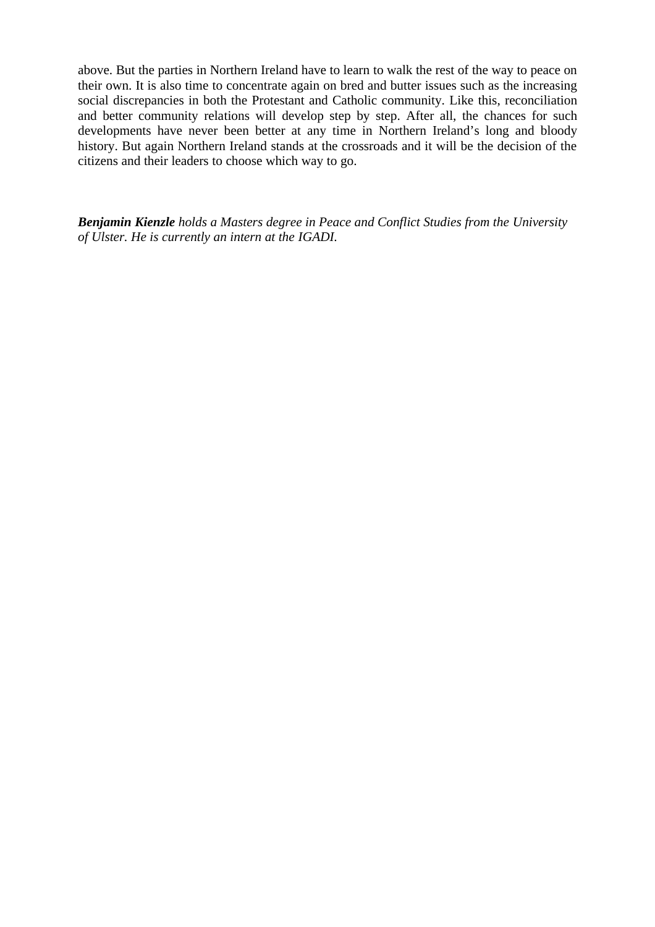above. But the parties in Northern Ireland have to learn to walk the rest of the way to peace on their own. It is also time to concentrate again on bred and butter issues such as the increasing social discrepancies in both the Protestant and Catholic community. Like this, reconciliation and better community relations will develop step by step. After all, the chances for such developments have never been better at any time in Northern Ireland's long and bloody history. But again Northern Ireland stands at the crossroads and it will be the decision of the citizens and their leaders to choose which way to go.

*Benjamin Kienzle holds a Masters degree in Peace and Conflict Studies from the University of Ulster. He is currently an intern at the IGADI.*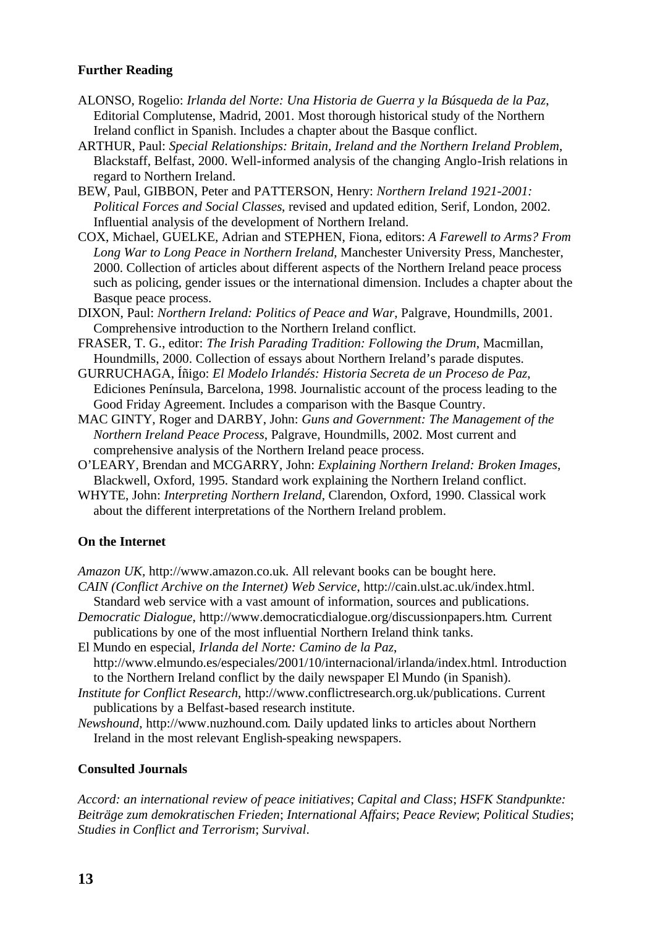# **Further Reading**

- ALONSO, Rogelio: *Irlanda del Norte: Una Historia de Guerra y la Búsqueda de la Paz*, Editorial Complutense, Madrid, 2001. Most thorough historical study of the Northern Ireland conflict in Spanish. Includes a chapter about the Basque conflict.
- ARTHUR, Paul: *Special Relationships: Britain, Ireland and the Northern Ireland Problem*, Blackstaff, Belfast, 2000. Well-informed analysis of the changing Anglo-Irish relations in regard to Northern Ireland.
- BEW, Paul, GIBBON, Peter and PATTERSON, Henry: *Northern Ireland 1921-2001: Political Forces and Social Classes*, revised and updated edition, Serif, London, 2002. Influential analysis of the development of Northern Ireland.
- COX, Michael, GUELKE, Adrian and STEPHEN, Fiona, editors: *A Farewell to Arms? From Long War to Long Peace in Northern Ireland*, Manchester University Press, Manchester, 2000. Collection of articles about different aspects of the Northern Ireland peace process such as policing, gender issues or the international dimension. Includes a chapter about the Basque peace process.
- DIXON, Paul: *Northern Ireland: Politics of Peace and War*, Palgrave, Houndmills, 2001. Comprehensive introduction to the Northern Ireland conflict.
- FRASER, T. G., editor: *The Irish Parading Tradition: Following the Drum*, Macmillan, Houndmills, 2000. Collection of essays about Northern Ireland's parade disputes.
- GURRUCHAGA, Íñigo: *El Modelo Irlandés: Historia Secreta de un Proceso de Paz*, Ediciones Península, Barcelona, 1998. Journalistic account of the process leading to the Good Friday Agreement. Includes a comparison with the Basque Country.
- MAC GINTY, Roger and DARBY, John: *Guns and Government: The Management of the Northern Ireland Peace Process*, Palgrave, Houndmills, 2002. Most current and comprehensive analysis of the Northern Ireland peace process.
- O'LEARY, Brendan and MCGARRY, John: *Explaining Northern Ireland: Broken Images*, Blackwell, Oxford, 1995. Standard work explaining the Northern Ireland conflict.
- WHYTE, John: *Interpreting Northern Ireland*, Clarendon, Oxford, 1990. Classical work about the different interpretations of the Northern Ireland problem.

### **On the Internet**

*Amazon UK,* http://www.amazon.co.uk. All relevant books can be bought here.

- *CAIN (Conflict Archive on the Internet) Web Service*, http://cain.ulst.ac.uk/index.html. Standard web service with a vast amount of information, sources and publications.
- *Democratic Dialogue*, http://www.democraticdialogue.org/discussionpapers.htm. Current publications by one of the most influential Northern Ireland think tanks.
- El Mundo en especial, *Irlanda del Norte: Camino de la Paz*, http://www.elmundo.es/especiales/2001/10/internacional/irlanda/index.html. Introduction to the Northern Ireland conflict by the daily newspaper El Mundo (in Spanish).
- *Institute for Conflict Research*, http://www.conflictresearch.org.uk/publications. Current publications by a Belfast-based research institute.
- *Newshound*, http://www.nuzhound.com. Daily updated links to articles about Northern Ireland in the most relevant English-speaking newspapers.

## **Consulted Journals**

*Accord: an international review of peace initiatives*; *Capital and Class*; *HSFK Standpunkte: Beiträge zum demokratischen Frieden*; *International Affairs*; *Peace Review*; *Political Studies*; *Studies in Conflict and Terrorism*; *Survival*.